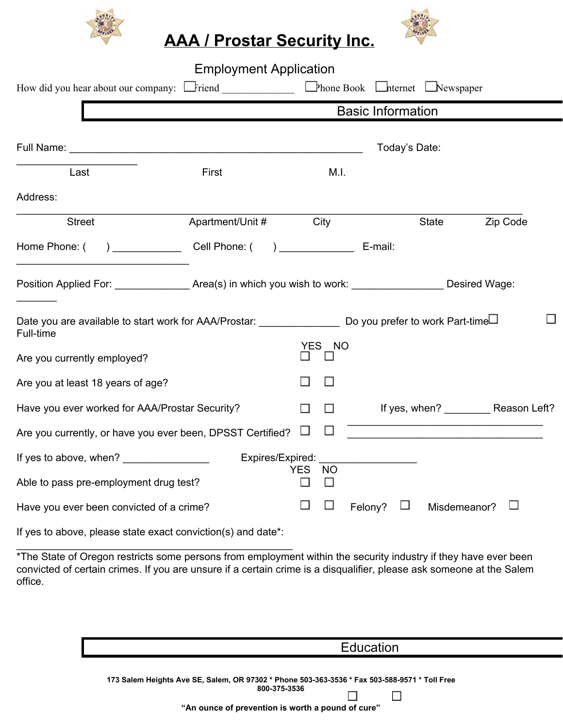



| How did you hear about our company: $\Box$ Friend $\Box$ Phone Book $\Box$ hternet $\Box$ Newspaper                                  | <b>Employment Application</b>                                                                              |     |           |         |                        |                                        |
|--------------------------------------------------------------------------------------------------------------------------------------|------------------------------------------------------------------------------------------------------------|-----|-----------|---------|------------------------|----------------------------------------|
|                                                                                                                                      | <b>Basic Information</b>                                                                                   |     |           |         |                        |                                        |
|                                                                                                                                      |                                                                                                            |     |           |         | Today's Date:          |                                        |
| Last                                                                                                                                 | First                                                                                                      |     | M.I.      |         |                        |                                        |
| Address:                                                                                                                             |                                                                                                            |     |           |         |                        |                                        |
| <b>Street</b>                                                                                                                        | Apartment/Unit #                                                                                           |     | City      |         | <b>State</b>           | Zip Code                               |
| Home Phone: (                                                                                                                        | (b) Cell Phone: (c) E-mail:                                                                                |     |           |         |                        |                                        |
|                                                                                                                                      | Position Applied For: _________________Area(s) in which you wish to work: ___________________Desired Wage: |     |           |         |                        |                                        |
| Date you are available to start work for AAA/Prostar: ___________________ Do you prefer to work Part-time <sup>[]</sup><br>Full-time |                                                                                                            |     |           |         |                        |                                        |
| Are you currently employed?                                                                                                          |                                                                                                            |     | YES NO    |         |                        |                                        |
| Are you at least 18 years of age?                                                                                                    |                                                                                                            |     |           |         |                        |                                        |
| Have you ever worked for AAA/Prostar Security?                                                                                       |                                                                                                            |     |           |         |                        | If yes, when? ___________ Reason Left? |
| Are you currently, or have you ever been, DPSST Certified?                                                                           |                                                                                                            |     |           |         |                        |                                        |
|                                                                                                                                      | Expires/Expired:                                                                                           |     |           |         |                        |                                        |
| Able to pass pre-employment drug test?                                                                                               |                                                                                                            | YES | <b>NO</b> |         |                        |                                        |
| Have you ever been convicted of a crime?                                                                                             |                                                                                                            |     |           | Felony? | $\Box$<br>Misdemeanor? |                                        |

If yes to above, please state exact conviction(s) and date\*: \_\_\_\_\_\_\_\_\_\_\_\_\_\_\_\_\_\_\_\_\_\_\_\_\_\_\_\_\_\_\_\_\_\_\_\_\_\_\_\_\_\_\_\_\_\_\_\_

\*The State of Oregon restricts some persons from employment within the security industry if they have ever been convicted of certain crimes. If you are unsure if a certain crime is a disqualifier, please ask someone at the Salem office.

|                                                                                                                                                                    | Education |
|--------------------------------------------------------------------------------------------------------------------------------------------------------------------|-----------|
| 173 Salem Heights Ave SE, Salem, OR 97302 * Phone 503-363-3536 * Fax 503-588-9571 * Toll Free<br>800-375-3536<br>"An ounce of prevention is worth a pound of cure" |           |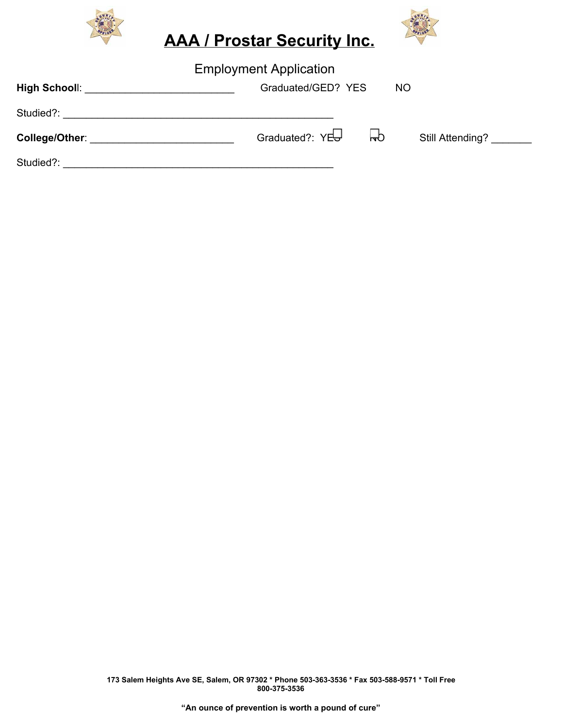



| <b>Employment Application</b>                                                                                                                                                                                                  |                                 |                  |  |  |  |
|--------------------------------------------------------------------------------------------------------------------------------------------------------------------------------------------------------------------------------|---------------------------------|------------------|--|--|--|
| High Schooll: <b>All Accounts and School</b>                                                                                                                                                                                   | Graduated/GED? YES              | <b>NO</b>        |  |  |  |
| Studied?:                                                                                                                                                                                                                      |                                 |                  |  |  |  |
| College/Other: with the college of the college of the college of the collection of the collection of the collection of the collection of the collection of the collection of the collection of the collection of the collectio | $\mathsf{H}$<br>Graduated?: YES | Still Attending? |  |  |  |
| Studied?:                                                                                                                                                                                                                      |                                 |                  |  |  |  |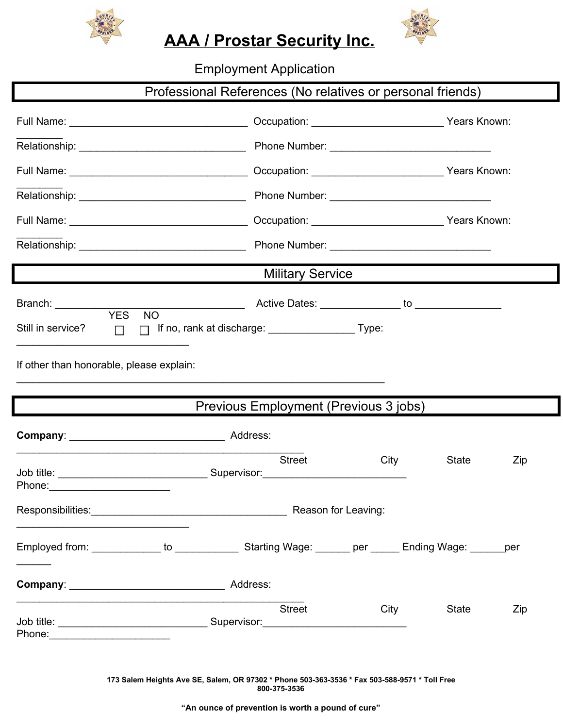



Employment Application

|                                                                                                               |                                                         |                                       |                         |  | Professional References (No relatives or personal friends) |     |  |
|---------------------------------------------------------------------------------------------------------------|---------------------------------------------------------|---------------------------------------|-------------------------|--|------------------------------------------------------------|-----|--|
|                                                                                                               |                                                         |                                       |                         |  |                                                            |     |  |
|                                                                                                               |                                                         |                                       |                         |  |                                                            |     |  |
|                                                                                                               |                                                         |                                       |                         |  |                                                            |     |  |
|                                                                                                               |                                                         |                                       |                         |  |                                                            |     |  |
|                                                                                                               |                                                         |                                       |                         |  |                                                            |     |  |
|                                                                                                               |                                                         |                                       |                         |  |                                                            |     |  |
|                                                                                                               |                                                         |                                       | <b>Military Service</b> |  |                                                            |     |  |
| Branch: _______________                                                                                       |                                                         |                                       |                         |  |                                                            |     |  |
| <b>YES</b><br><b>NO</b><br>Still in service? $\Box$                                                           |                                                         |                                       |                         |  |                                                            |     |  |
| If other than honorable, please explain:                                                                      |                                                         |                                       |                         |  |                                                            |     |  |
|                                                                                                               |                                                         |                                       |                         |  |                                                            |     |  |
|                                                                                                               |                                                         | Previous Employment (Previous 3 jobs) |                         |  |                                                            |     |  |
|                                                                                                               |                                                         |                                       |                         |  |                                                            |     |  |
|                                                                                                               |                                                         |                                       | <b>Street</b>           |  | City<br><b>State</b>                                       | Zip |  |
| Phone:                                                                                                        |                                                         |                                       |                         |  |                                                            |     |  |
|                                                                                                               | Responsibilities: Responsibilities: Reason for Leaving: |                                       |                         |  |                                                            |     |  |
|                                                                                                               |                                                         |                                       |                         |  |                                                            |     |  |
|                                                                                                               |                                                         |                                       |                         |  |                                                            |     |  |
|                                                                                                               |                                                         |                                       | <b>Street</b>           |  | <b>City</b><br>State                                       | Zip |  |
| Phone: 2008 2010 2010 2010 2010 2021 2022 2023 2024 2022 2023 2024 2022 2023 2024 2025 2026 2027 2028 2021 20 |                                                         |                                       |                         |  |                                                            |     |  |

**173 Salem Heights Ave SE, Salem, OR 97302 \* Phone 5033633536 \* Fax 5035889571 \* Toll Free 8003753536**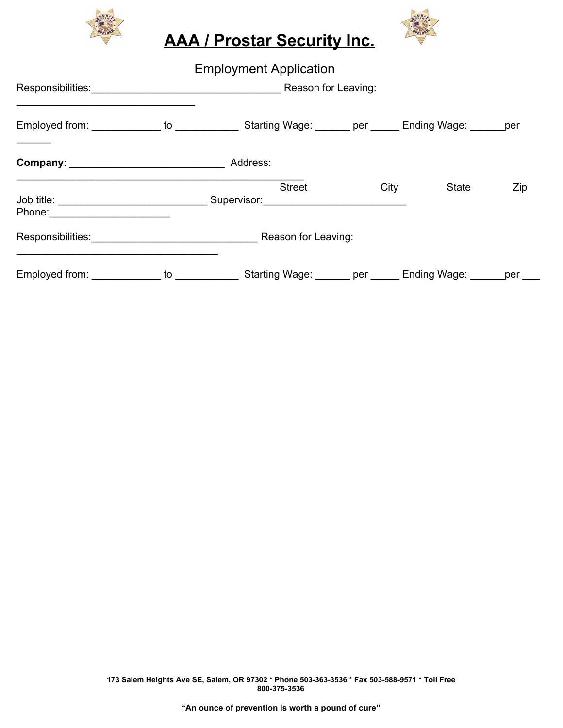



|                                              |                    | <b>Employment Application</b>                             |  |      |              |     |
|----------------------------------------------|--------------------|-----------------------------------------------------------|--|------|--------------|-----|
|                                              |                    | Responsibilities: Responsibilities: Reason for Leaving:   |  |      |              |     |
| Employed from: _____________ to ____________ |                    | Starting Wage: _______ per ______ Ending Wage: ______ per |  |      |              |     |
| Company: __________________________________  |                    | Address:                                                  |  |      |              |     |
|                                              |                    | <b>Street</b>                                             |  | City | <b>State</b> | Zip |
|                                              |                    | Responsibilities: Reason for Leaving:                     |  |      |              |     |
| Employed from: _____________                 | to $\qquad \qquad$ | Starting Wage: ______ per _____                           |  |      | Ending Wage: | per |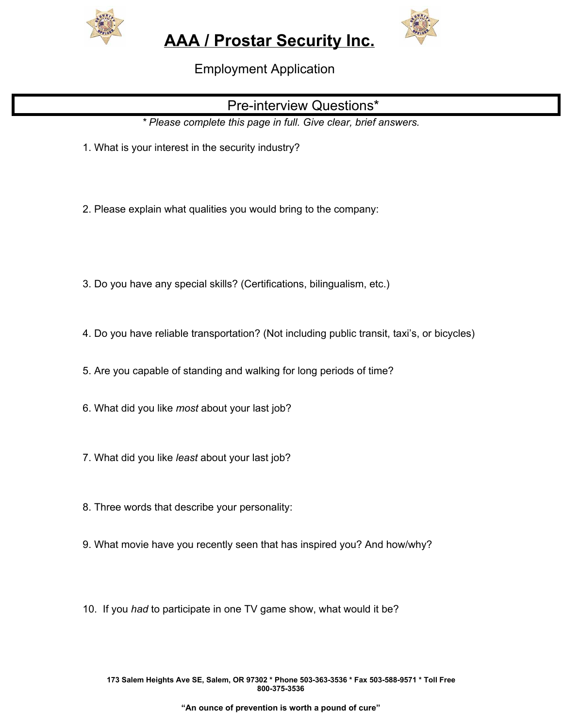



Employment Application

## Pre-interview Questions\*

*\* Please complete this page in full. Give clear, brief answers.*

- 1. What is your interest in the security industry?
- 2. Please explain what qualities you would bring to the company:
- 3. Do you have any special skills? (Certifications, bilingualism, etc.)
- 4. Do you have reliable transportation? (Not including public transit, taxi's, or bicycles)
- 5. Are you capable of standing and walking for long periods of time?
- 6. What did you like *most* about your last job?
- 7. What did you like *least* about your last job?
- 8. Three words that describe your personality:
- 9. What movie have you recently seen that has inspired you? And how/why?
- 10. If you *had* to participate in one TV game show, what would it be?